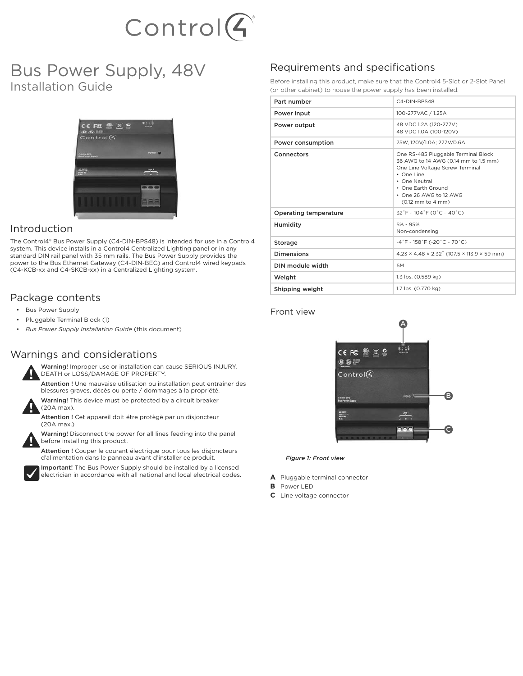

# Bus Power Supply, 48V Installation Guide



## Introduction

The Control4® Bus Power Supply (C4-DIN-BPS48) is intended for use in a Control4 system. This device installs in a Control4 Centralized Lighting panel or in any standard DIN rail panel with 35 mm rails. The Bus Power Supply provides the power to the Bus Ethernet Gateway (C4-DIN-BEG) and Control4 wired keypads (C4-KCB-xx and C4-SKCB-xx) in a Centralized Lighting system.

# Package contents

- Bus Power Supply
- Pluggable Terminal Block (1)
- *Bus Power Supply Installation Guide* (this document)

## Warnings and considerations



Warning! Improper use or installation can cause SERIOUS INJURY, DEATH or LOSS/DAMAGE OF PROPERTY.

Attention ! Une mauvaise utilisation ou installation peut entraîner des blessures graves, décès ou perte / dommages à la propriété.

Warning! This device must be protected by a circuit breaker (20A max).

Attention ! Cet appareil doit étre protègè par un disjoncteur (20A max.)



Warning! Disconnect the power for all lines feeding into the panel before installing this product.

Attention ! Couper le courant électrique pour tous les disjoncteurs d'alimentation dans le panneau avant d'installer ce produit.



Important! The Bus Power Supply should be installed by a licensed

electrician in accordance with all national and local electrical codes.

# Requirements and specifications

Before installing this product, make sure that the Control4 5-Slot or 2-Slot Panel (or other cabinet) to house the power supply has been installed.

| Part number                  | C4-DIN-BPS48                                                                                                                                                                                                       |  |
|------------------------------|--------------------------------------------------------------------------------------------------------------------------------------------------------------------------------------------------------------------|--|
| Power input                  | 100-277VAC / 1.25A                                                                                                                                                                                                 |  |
| Power output                 | 48 VDC 1.2A (120-277V)<br>48 VDC 1.0A (100-120V)                                                                                                                                                                   |  |
| Power consumption            | 75W. 120V/1.0A: 277V/0.6A                                                                                                                                                                                          |  |
| Connectors                   | One RS-485 Pluggable Terminal Block<br>36 AWG to 14 AWG (0.14 mm to 1.5 mm)<br>One Line Voltage Screw Terminal<br>• One Line<br>• One Neutral<br>• One Earth Ground<br>• One 26 AWG to 12 AWG<br>(0.12 mm to 4 mm) |  |
| <b>Operating temperature</b> | $32^\circ$ F ~ 104 $^\circ$ F (0 $^\circ$ C ~ 40 $^\circ$ C)                                                                                                                                                       |  |
| Humidity                     | 5% - 95%<br>Non-condensing                                                                                                                                                                                         |  |
| Storage                      | $-4$ °F - 158°F (-20°C ~ 70°C)                                                                                                                                                                                     |  |
| <b>Dimensions</b>            | $4.23 \times 4.48 \times 2.32$ (107.5 $\times$ 113.9 $\times$ 59 mm)                                                                                                                                               |  |
| DIN module width             | 6M                                                                                                                                                                                                                 |  |
| Weight                       | 1.3 lbs. (0.589 kg)                                                                                                                                                                                                |  |
| Shipping weight              | 1.7 lbs. (0.770 kg)                                                                                                                                                                                                |  |

#### Front view



*Figure 1: Front view*

- **A** Pluggable terminal connector
- **B** Power LED
- **C** Line voltage connector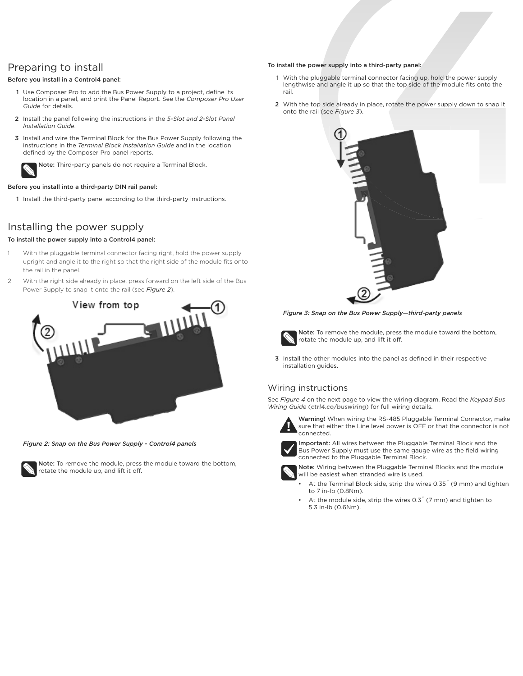# Preparing to install

#### Before you install in a Control4 panel:

- 1 Use Composer Pro to add the Bus Power Supply to a project, define its location in a panel, and print the Panel Report. See the *Composer Pro User Guide* for details.
- 2 Install the panel following the instructions in the *5-Slot and 2-Slot Panel Installation Guide*.
- 3 Install and wire the Terminal Block for the Bus Power Supply following the instructions in the *Terminal Block Installation Guide* and in the location defined by the Composer Pro panel reports.

Note: Third-party panels do not require a Terminal Block.

#### Before you install into a third-party DIN rail panel:

1 Install the third-party panel according to the third-party instructions.

# Installing the power supply

#### To install the power supply into a Control4 panel:

- With the pluggable terminal connector facing right, hold the power supply upright and angle it to the right so that the right side of the module fits onto the rail in the panel.
- 2 With the right side already in place, press forward on the left side of the Bus Power Supply to snap it onto the rail (see *Figure 2*).



*Figure 2: Snap on the Bus Power Supply - Control4 panels*



Note: To remove the module, press the module toward the bottom, rotate the module up, and lift it off.

#### To install the power supply into a third-party panel:

- 1 With the pluggable terminal connector facing up, hold the power supply lengthwise and angle it up so that the top side of the module fits onto the rail.
- 2 With the top side already in place, rotate the power supply down to snap it onto the rail (see *Figure 3*).



*Figure 3: Snap on the Bus Power Supply—third-party panels*



Note: To remove the module, press the module toward the bottom, rotate the module up, and lift it off.

3 Install the other modules into the panel as defined in their respective installation guides.

#### Wiring instructions

See *Figure 4* on the next page to view the wiring diagram. Read the *Keypad Bus Wiring Guide* (ctrl4.co/buswiring) for full wiring details.



Warning! When wiring the RS-485 Pluggable Terminal Connector, make sure that either the Line level power is OFF or that the connector is not connected.



Important: All wires between the Pluggable Terminal Block and the Bus Power Supply must use the same gauge wire as the field wiring connected to the Pluggable Terminal Block.



Note: Wiring between the Pluggable Terminal Blocks and the module will be easiest when stranded wire is used.

- At the Terminal Block side, strip the wires 0.35˝ (9 mm) and tighten to 7 in-lb (0.8Nm).
- At the module side, strip the wires 0.3<sup>"</sup> (7 mm) and tighten to 5.3 in-lb (0.6Nm).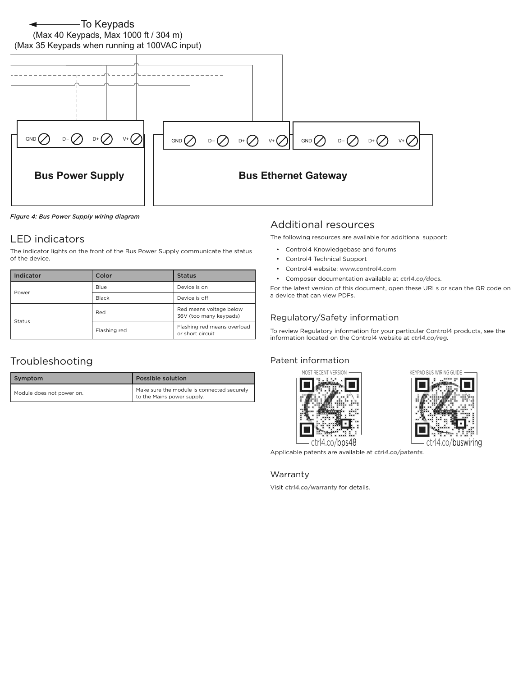# To Keypads (Max 40 Keypads, Max 1000 ft / 304 m)



*Figure 4: Bus Power Supply wiring diagram*

## LED indicators

The indicator lights on the front of the Bus Power Supply communicate the status of the device.

| Indicator | Color        | <b>Status</b>                                     |
|-----------|--------------|---------------------------------------------------|
| Power     | Blue         | Device is on                                      |
|           | <b>Black</b> | Device is off                                     |
| Status    | Red          | Red means voltage below<br>36V (too many keypads) |
|           | Flashing red | Flashing red means overload<br>or short circuit   |

# Troubleshooting

| Symptom                   | <b>Possible solution</b>                                                 |
|---------------------------|--------------------------------------------------------------------------|
| Module does not power on. | Make sure the module is connected securely<br>to the Mains power supply. |

#### Additional resources

The following resources are available for additional support:

- Control4 Knowledgebase and forums
- Control4 Technical Support
- Control4 website: www.control4.com
- Composer documentation available at ctrl4.co/docs.

For the latest version of this document, open these URLs or scan the QR code on a device that can view PDFs.

#### Regulatory/Safety information

To review Regulatory information for your particular Control4 products, see the information located on the Control4 website at ctrl4.co/reg.

#### Patent information





Applicable patents are available at ctrl4.co/patents.

#### Warranty

Visit ctrl4.co/warranty for details.